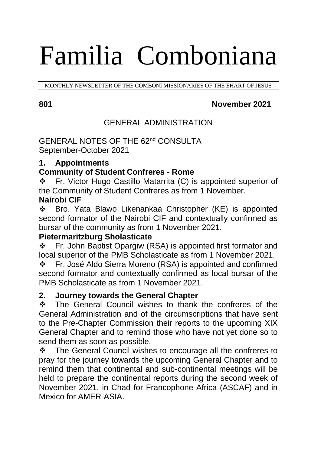# Familia Comboniana

MONTHLY NEWSLETTER OF THE COMBONI MISSIONARIES OF THE EHART OF JESUS

# **801 November 2021**

# GENERAL ADMINISTRATION

GENERAL NOTES OF THE 62nd CONSULTA September-October 2021

# **1. Appointments**

# **Community of Student Confreres - Rome**

❖ Fr. Victor Hugo Castillo Matarrita (C) is appointed superior of the Community of Student Confreres as from 1 November. **Nairobi CIF** 

❖ Bro. Yata Blawo Likenankaa Christopher (KE) is appointed second formator of the Nairobi CIF and contextually confirmed as bursar of the community as from 1 November 2021.

# **Pietermaritzburg Sholasticate**

❖ Fr. John Baptist Opargiw (RSA) is appointed first formator and local superior of the PMB Scholasticate as from 1 November 2021.

❖ Fr. José Aldo Sierra Moreno (RSA) is appointed and confirmed second formator and contextually confirmed as local bursar of the PMB Scholasticate as from 1 November 2021.

# **2. Journey towards the General Chapter**

❖ The General Council wishes to thank the confreres of the General Administration and of the circumscriptions that have sent to the Pre-Chapter Commission their reports to the upcoming XIX General Chapter and to remind those who have not yet done so to send them as soon as possible.

❖ The General Council wishes to encourage all the confreres to pray for the journey towards the upcoming General Chapter and to remind them that continental and sub-continental meetings will be held to prepare the continental reports during the second week of November 2021, in Chad for Francophone Africa (ASCAF) and in Mexico for AMER-ASIA.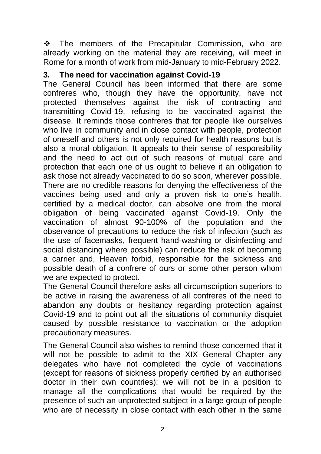❖ The members of the Precapitular Commission, who are already working on the material they are receiving, will meet in Rome for a month of work from mid-January to mid-February 2022.

### **3. The need for vaccination against Covid-19**

The General Council has been informed that there are some confreres who, though they have the opportunity, have not protected themselves against the risk of contracting and transmitting Covid-19, refusing to be vaccinated against the disease. It reminds those confreres that for people like ourselves who live in community and in close contact with people, protection of oneself and others is not only required for health reasons but is also a moral obligation. It appeals to their sense of responsibility and the need to act out of such reasons of mutual care and protection that each one of us ought to believe it an obligation to ask those not already vaccinated to do so soon, wherever possible. There are no credible reasons for denying the effectiveness of the vaccines being used and only a proven risk to one's health, certified by a medical doctor, can absolve one from the moral obligation of being vaccinated against Covid-19. Only the vaccination of almost 90-100% of the population and the observance of precautions to reduce the risk of infection (such as the use of facemasks, frequent hand-washing or disinfecting and social distancing where possible) can reduce the risk of becoming a carrier and, Heaven forbid, responsible for the sickness and possible death of a confrere of ours or some other person whom we are expected to protect.

The General Council therefore asks all circumscription superiors to be active in raising the awareness of all confreres of the need to abandon any doubts or hesitancy regarding protection against Covid-19 and to point out all the situations of community disquiet caused by possible resistance to vaccination or the adoption precautionary measures.

The General Council also wishes to remind those concerned that it will not be possible to admit to the XIX General Chapter any delegates who have not completed the cycle of vaccinations (except for reasons of sickness properly certified by an authorised doctor in their own countries): we will not be in a position to manage all the complications that would be required by the presence of such an unprotected subject in a large group of people who are of necessity in close contact with each other in the same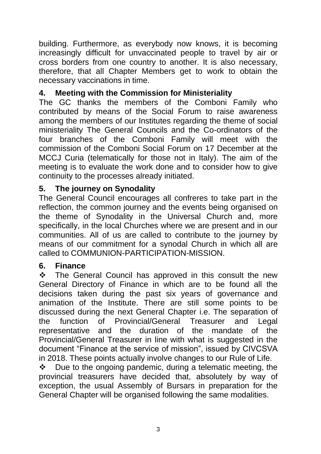building. Furthermore, as everybody now knows, it is becoming increasingly difficult for unvaccinated people to travel by air or cross borders from one country to another. It is also necessary, therefore, that all Chapter Members get to work to obtain the necessary vaccinations in time.

# **4. Meeting with the Commission for Ministeriality**

The GC thanks the members of the Comboni Family who contributed by means of the Social Forum to raise awareness among the members of our Institutes regarding the theme of social ministeriality The General Councils and the Co-ordinators of the four branches of the Comboni Family will meet with the commission of the Comboni Social Forum on 17 December at the MCCJ Curia (telematically for those not in Italy). The aim of the meeting is to evaluate the work done and to consider how to give continuity to the processes already initiated.

# **5. The journey on Synodality**

The General Council encourages all confreres to take part in the reflection, the common journey and the events being organised on the theme of Synodality in the Universal Church and, more specifically, in the local Churches where we are present and in our communities. All of us are called to contribute to the journey by means of our commitment for a synodal Church in which all are called to COMMUNION-PARTICIPATION-MISSION.

# **6. Finance**

❖ The General Council has approved in this consult the new General Directory of Finance in which are to be found all the decisions taken during the past six years of governance and animation of the Institute. There are still some points to be discussed during the next General Chapter i.e. The separation of the function of Provincial/General Treasurer and Legal representative and the duration of the mandate of the Provincial/General Treasurer in line with what is suggested in the document "Finance at the service of mission", issued by CIVCSVA in 2018. These points actually involve changes to our Rule of Life.

❖ Due to the ongoing pandemic, during a telematic meeting, the provincial treasurers have decided that, absolutely by way of exception, the usual Assembly of Bursars in preparation for the General Chapter will be organised following the same modalities.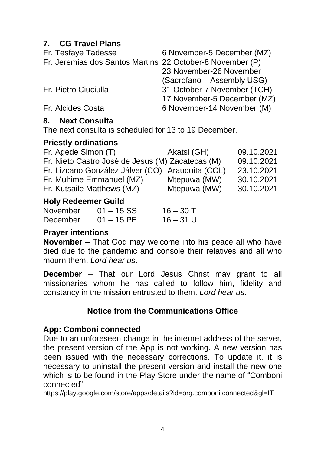# **7. CG Travel Plans**

| 6 November-5 December (MZ)                                |
|-----------------------------------------------------------|
| Fr. Jeremias dos Santos Martins 22 October-8 November (P) |
| 23 November-26 November                                   |
| (Sacrofano – Assembly USG)                                |
| 31 October-7 November (TCH)                               |
| 17 November-5 December (MZ)                               |
| 6 November-14 November (M)                                |
|                                                           |

#### **8. Next Consulta**

The next consulta is scheduled for 13 to 19 December.

### **Priestly ordinations**

| Hele Bedeemen Addid                              |              |            |
|--------------------------------------------------|--------------|------------|
| Fr. Kutsaile Matthews (MZ)                       | Mtepuwa (MW) | 30.10.2021 |
| Fr. Muhime Emmanuel (MZ)                         | Mtepuwa (MW) | 30.10.2021 |
| Fr. Lizcano González Jálver (CO) Arauguita (COL) |              | 23.10.2021 |
| Fr. Nieto Castro José de Jesus (M) Zacatecas (M) |              | 09.10.2021 |
| Fr. Agede Simon (T)                              | Akatsi (GH)  | 09.10.2021 |
|                                                  |              |            |

### **Holy Redeemer Guild**

| November | $01 - 15$ SS | $16 - 30$ T |
|----------|--------------|-------------|
| December | $01 - 15$ PE | $16 - 31$ U |

# **Prayer intentions**

**November** – That God may welcome into his peace all who have died due to the pandemic and console their relatives and all who mourn them. *Lord hear us*.

**December** – That our Lord Jesus Christ may grant to all missionaries whom he has called to follow him, fidelity and constancy in the mission entrusted to them. *Lord hear us*.

# **Notice from the Communications Office**

# **App: Comboni connected**

Due to an unforeseen change in the internet address of the server, the present version of the App is not working. A new version has been issued with the necessary corrections. To update it, it is necessary to uninstall the present version and install the new one which is to be found in the Play Store under the name of "Comboni connected".

https://play.google.com/store/apps/details?id=org.comboni.connected&gl=IT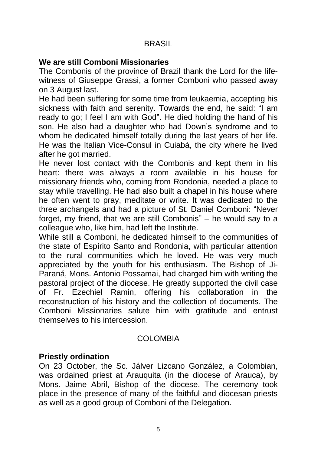### **BRASIL**

#### **We are still Comboni Missionaries**

The Combonis of the province of Brazil thank the Lord for the lifewitness of Giuseppe Grassi, a former Comboni who passed away on 3 August last.

He had been suffering for some time from leukaemia, accepting his sickness with faith and serenity. Towards the end, he said: "I am ready to go; I feel I am with God". He died holding the hand of his son. He also had a daughter who had Down's syndrome and to whom he dedicated himself totally during the last years of her life. He was the Italian Vice-Consul in Cuiabá, the city where he lived after he got married.

He never lost contact with the Combonis and kept them in his heart: there was always a room available in his house for missionary friends who, coming from Rondonia, needed a place to stay while travelling. He had also built a chapel in his house where he often went to pray, meditate or write. It was dedicated to the three archangels and had a picture of St. Daniel Comboni: "Never forget, my friend, that we are still Combonis" – he would say to a colleague who, like him, had left the Institute.

While still a Comboni, he dedicated himself to the communities of the state of Espírito Santo and Rondonia, with particular attention to the rural communities which he loved. He was very much appreciated by the youth for his enthusiasm. The Bishop of Ji-Paraná, Mons. Antonio Possamai, had charged him with writing the pastoral project of the diocese. He greatly supported the civil case of Fr. Ezechiel Ramin, offering his collaboration in the reconstruction of his history and the collection of documents. The Comboni Missionaries salute him with gratitude and entrust themselves to his intercession.

#### COLOMBIA

#### **Priestly ordination**

On 23 October, the Sc. Jálver Lizcano González, a Colombian, was ordained priest at Arauquita (in the diocese of Arauca), by Mons. Jaime Abril, Bishop of the diocese. The ceremony took place in the presence of many of the faithful and diocesan priests as well as a good group of Comboni of the Delegation.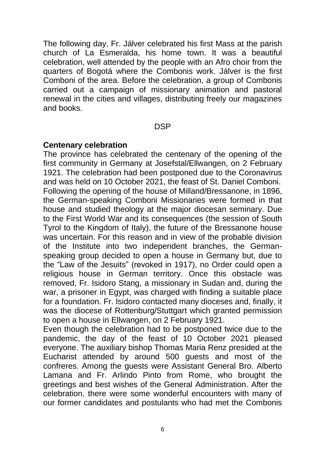The following day, Fr. Jálver celebrated his first Mass at the parish church of La Esmeralda, his home town. It was a beautiful celebration, well attended by the people with an Afro choir from the quarters of Bogotá where the Combonis work. Jálver is the first Comboni of the area. Before the celebration, a group of Combonis carried out a campaign of missionary animation and pastoral renewal in the cities and villages, distributing freely our magazines and books.

**DSP** 

#### **Centenary celebration**

The province has celebrated the centenary of the opening of the first community in Germany at Josefstal/Ellwangen, on 2 February 1921. The celebration had been postponed due to the Coronavirus and was held on 10 October 2021, the feast of St. Daniel Comboni. Following the opening of the house of Milland/Bressanone, in 1896, the German-speaking Comboni Missionaries were formed in that house and studied theology at the major diocesan seminary. Due to the First World War and its consequences (the session of South Tyrol to the Kingdom of Italy), the future of the Bressanone house was uncertain. For this reason and in view of the probable division of the Institute into two independent branches, the Germanspeaking group decided to open a house in Germany but, due to the "Law of the Jesuits" (revoked in 1917), no Order could open a religious house in German territory. Once this obstacle was removed, Fr. Isidoro Stang, a missionary in Sudan and, during the war, a prisoner in Egypt, was charged with finding a suitable place for a foundation. Fr. Isidoro contacted many dioceses and, finally, it was the diocese of Rottenburg/Stuttgart which granted permission to open a house in Ellwangen, on 2 February 1921.

Even though the celebration had to be postponed twice due to the pandemic, the day of the feast of 10 October 2021 pleased everyone. The auxiliary bishop Thomas Maria Renz presided at the Eucharist attended by around 500 guests and most of the confreres. Among the guests were Assistant General Bro. Alberto Lamana and Fr. Arlindo Pinto from Rome, who brought the greetings and best wishes of the General Administration. After the celebration, there were some wonderful encounters with many of our former candidates and postulants who had met the Combonis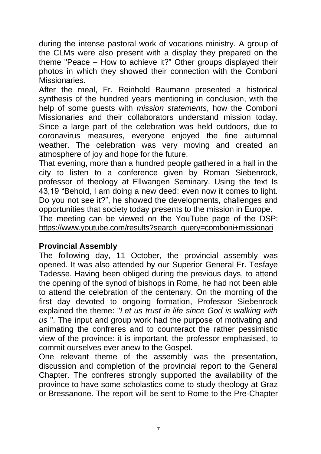during the intense pastoral work of vocations ministry. A group of the CLMs were also present with a display they prepared on the theme "Peace – How to achieve it?" Other groups displayed their photos in which they showed their connection with the Comboni Missionaries.

After the meal, Fr. Reinhold Baumann presented a historical synthesis of the hundred years mentioning in conclusion, with the help of some guests with *mission statements*, how the Comboni Missionaries and their collaborators understand mission today. Since a large part of the celebration was held outdoors, due to coronavirus measures, everyone enjoyed the fine autumnal weather. The celebration was very moving and created an atmosphere of joy and hope for the future.

That evening, more than a hundred people gathered in a hall in the city to listen to a conference given by Roman Siebenrock, professor of theology at Ellwangen Seminary. Using the text Is 43,19 "Behold, I am doing a new deed: even now it comes to light. Do you not see it?", he showed the developments, challenges and opportunities that society today presents to the mission in Europe. The meeting can be viewed on the YouTube page of the DSP: [https://www.youtube.com/results?search\\_query=comboni+missionari](https://www.youtube.com/results?search_query=comboni+missionari)

#### **Provincial Assembly**

The following day, 11 October, the provincial assembly was opened. It was also attended by our Superior General Fr. Tesfaye Tadesse. Having been obliged during the previous days, to attend the opening of the synod of bishops in Rome, he had not been able to attend the celebration of the centenary. On the morning of the first day devoted to ongoing formation, Professor Siebenrock explained the theme: "*Let us trust in life since God is walking with us* ". The input and group work had the purpose of motivating and animating the confreres and to counteract the rather pessimistic view of the province: it is important, the professor emphasised, to commit ourselves ever anew to the Gospel.

One relevant theme of the assembly was the presentation, discussion and completion of the provincial report to the General Chapter. The confreres strongly supported the availability of the province to have some scholastics come to study theology at Graz or Bressanone. The report will be sent to Rome to the Pre-Chapter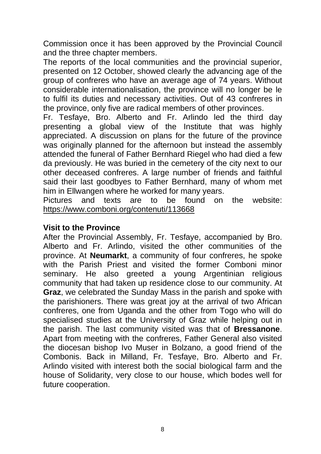Commission once it has been approved by the Provincial Council and the three chapter members.

The reports of the local communities and the provincial superior, presented on 12 October, showed clearly the advancing age of the group of confreres who have an average age of 74 years. Without considerable internationalisation, the province will no longer be le to fulfil its duties and necessary activities. Out of 43 confreres in the province, only five are radical members of other provinces.

Fr. Tesfaye, Bro. Alberto and Fr. Arlindo led the third day presenting a global view of the Institute that was highly appreciated. A discussion on plans for the future of the province was originally planned for the afternoon but instead the assembly attended the funeral of Father Bernhard Riegel who had died a few da previously. He was buried in the cemetery of the city next to our other deceased confreres. A large number of friends and faithful said their last goodbyes to Father Bernhard, many of whom met him in Ellwangen where he worked for many years.

Pictures and texts are to be found on the website: <https://www.comboni.org/contenuti/113668>

#### **Visit to the Province**

After the Provincial Assembly, Fr. Tesfaye, accompanied by Bro. Alberto and Fr. Arlindo, visited the other communities of the province. At **Neumarkt**, a community of four confreres, he spoke with the Parish Priest and visited the former Comboni minor seminary. He also greeted a young Argentinian religious community that had taken up residence close to our community. At **Graz**, we celebrated the Sunday Mass in the parish and spoke with the parishioners. There was great joy at the arrival of two African confreres, one from Uganda and the other from Togo who will do specialised studies at the University of Graz while helping out in the parish. The last community visited was that of **Bressanone**. Apart from meeting with the confreres, Father General also visited the diocesan bishop Ivo Muser in Bolzano, a good friend of the Combonis. Back in Milland, Fr. Tesfaye, Bro. Alberto and Fr. Arlindo visited with interest both the social biological farm and the house of Solidarity, very close to our house, which bodes well for future cooperation.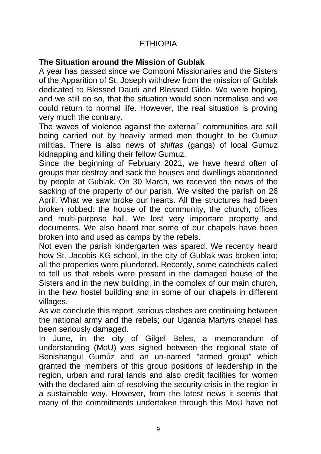# ETHIOPIA

# **The Situation around the Mission of Gublak**

A year has passed since we Comboni Missionaries and the Sisters of the Apparition of St. Joseph withdrew from the mission of Gublak dedicated to Blessed Daudi and Blessed Gildo. We were hoping, and we still do so, that the situation would soon normalise and we could return to normal life. However, the real situation is proving very much the contrary.

The waves of violence against the external" communities are still being carried out by heavily armed men thought to be Gumuz militias. There is also news of *shiftas* (gangs) of local Gumuz kidnapping and killing their fellow Gumuz.

Since the beginning of February 2021, we have heard often of groups that destroy and sack the houses and dwellings abandoned by people at Gublak. On 30 March, we received the news of the sacking of the property of our parish. We visited the parish on 26 April. What we saw broke our hearts. All the structures had been broken robbed: the house of the community, the church, offices and multi-purpose hall. We lost very important property and documents. We also heard that some of our chapels have been broken into and used as camps by the rebels.

Not even the parish kindergarten was spared. We recently heard how St. Jacobis KG school, in the city of Gublak was broken into; all the properties were plundered. Recently, some catechists called to tell us that rebels were present in the damaged house of the Sisters and in the new building, in the complex of our main church, in the hew hostel building and in some of our chapels in different villages.

As we conclude this report, serious clashes are continuing between the national army and the rebels; our Uganda Martyrs chapel has been seriously damaged.

In June, in the city of Gilgel Beles, a memorandum of understanding (MoU) was signed between the regional state of Benishangul Gumúz and an un-named "armed group" which granted the members of this group positions of leadership in the region, urban and rural lands and also credit facilities for women with the declared aim of resolving the security crisis in the region in a sustainable way. However, from the latest news it seems that many of the commitments undertaken through this MoU have not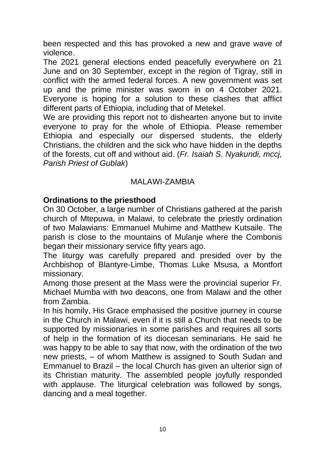been respected and this has provoked a new and grave wave of violence.

The 2021 general elections ended peacefully everywhere on 21 June and on 30 September, except in the region of Tigray, still in conflict with the armed federal forces. A new government was set up and the prime minister was sworn in on 4 October 2021. Everyone is hoping for a solution to these clashes that afflict different parts of Ethiopia, including that of Metekel.

We are providing this report not to dishearten anyone but to invite everyone to pray for the whole of Ethiopia. Please remember Ethiopia and especially our dispersed students, the elderly Christians, the children and the sick who have hidden in the depths of the forests, cut off and without aid. (*Fr. Isaiah S. Nyakundi, mccj, Parish Priest of Gublak*)

#### MALAWI-ZAMBIA

#### **Ordinations to the priesthood**

On 30 October, a large number of Christians gathered at the parish church of Mtepuwa, in Malawi, to celebrate the priestly ordination of two Malawians: Emmanuel Muhime and Matthew Kutsaile. The parish is close to the mountains of Mulanje where the Combonis began their missionary service fifty years ago.

The liturgy was carefully prepared and presided over by the Archbishop of Blantyre-Limbe, Thomas Luke Msusa, a Montfort missionary.

Among those present at the Mass were the provincial superior Fr. Michael Mumba with two deacons, one from Malawi and the other from Zambia.

In his homily, His Grace emphasised the positive journey in course in the Church in Malawi, even if it is still a Church that needs to be supported by missionaries in some parishes and requires all sorts of help in the formation of its diocesan seminarians. He said he was happy to be able to say that now, with the ordination of the two new priests, – of whom Matthew is assigned to South Sudan and Emmanuel to Brazil – the local Church has given an ulterior sign of its Christian maturity. The assembled people joyfully responded with applause. The liturgical celebration was followed by songs, dancing and a meal together.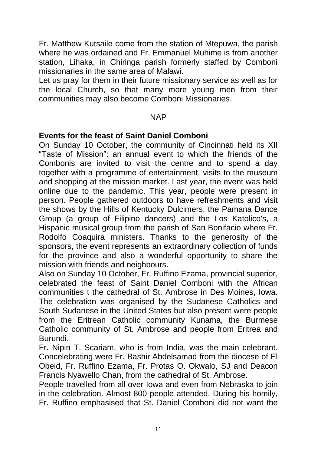Fr. Matthew Kutsaile come from the station of Mtepuwa, the parish where he was ordained and Fr. Emmanuel Muhime is from another station, Lihaka, in Chiringa parish formerly staffed by Comboni missionaries in the same area of Malawi.

Let us pray for them in their future missionary service as well as for the local Church, so that many more young men from their communities may also become Comboni Missionaries.

#### NAP

#### **Events for the feast of Saint Daniel Comboni**

On Sunday 10 October, the community of Cincinnati held its XII "Taste of Mission": an annual event to which the friends of the Combonis are invited to visit the centre and to spend a day together with a programme of entertainment, visits to the museum and shopping at the mission market. Last year, the event was held online due to the pandemic. This year, people were present in person. People gathered outdoors to have refreshments and visit the shows by the Hills of Kentucky Dulcimers, the Pamana Dance Group (a group of Filipino dancers) and the Los Katolico's, a Hispanic musical group from the parish of San Bonifacio where Fr. Rodolfo Coaquira ministers. Thanks to the generosity of the sponsors, the event represents an extraordinary collection of funds for the province and also a wonderful opportunity to share the mission with friends and neighbours.

Also on Sunday 10 October, Fr. Ruffino Ezama, provincial superior, celebrated the feast of Saint Daniel Comboni with the African communities t the cathedral of St. Ambrose in Des Moines, Iowa. The celebration was organised by the Sudanese Catholics and South Sudanese in the United States but also present were people from the Eritrean Catholic community Kunama, the Burmese Catholic community of St. Ambrose and people from Eritrea and Burundi.

Fr. Nipin T. Scariam, who is from India, was the main celebrant. Concelebrating were Fr. Bashir Abdelsamad from the diocese of El Obeid, Fr. Ruffino Ezama, Fr. Protas O. Okwalo, SJ and Deacon Francis Nyawello Chan, from the cathedral of St. Ambrose.

People travelled from all over Iowa and even from Nebraska to join in the celebration. Almost 800 people attended. During his homily, Fr. Ruffino emphasised that St. Daniel Comboni did not want the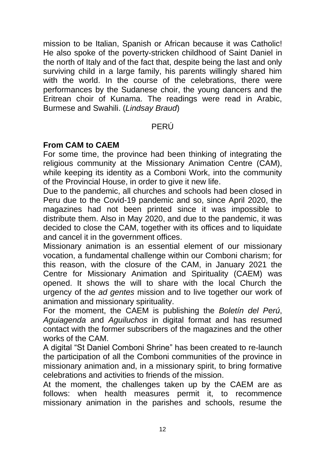mission to be Italian, Spanish or African because it was Catholic! He also spoke of the poverty-stricken childhood of Saint Daniel in the north of Italy and of the fact that, despite being the last and only surviving child in a large family, his parents willingly shared him with the world. In the course of the celebrations, there were performances by the Sudanese choir, the young dancers and the Eritrean choir of Kunama. The readings were read in Arabic, Burmese and Swahili. (*Lindsay Braud*)

### PERÚ

### **From CAM to CAEM**

For some time, the province had been thinking of integrating the religious community at the Missionary Animation Centre (CAM), while keeping its identity as a Comboni Work, into the community of the Provincial House, in order to give it new life.

Due to the pandemic, all churches and schools had been closed in Peru due to the Covid-19 pandemic and so, since April 2020, the magazines had not been printed since it was impossible to distribute them. Also in May 2020, and due to the pandemic, it was decided to close the CAM, together with its offices and to liquidate and cancel it in the government offices.

Missionary animation is an essential element of our missionary vocation, a fundamental challenge within our Comboni charism; for this reason, with the closure of the CAM, in January 2021 the Centre for Missionary Animation and Spirituality (CAEM) was opened. It shows the will to share with the local Church the urgency of the *ad gentes* mission and to live together our work of animation and missionary spirituality.

For the moment, the CAEM is publishing the *Boletín del Perú*, *Aguiagenda* and *Aguiluchos* in digital format and has resumed contact with the former subscribers of the magazines and the other works of the CAM.

A digital "St Daniel Comboni Shrine" has been created to re-launch the participation of all the Comboni communities of the province in missionary animation and, in a missionary spirit, to bring formative celebrations and activities to friends of the mission.

At the moment, the challenges taken up by the CAEM are as follows: when health measures permit it, to recommence missionary animation in the parishes and schools, resume the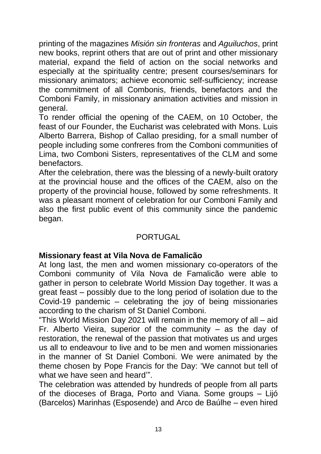printing of the magazines *Misión sin fronteras* and *Aguiluchos*, print new books, reprint others that are out of print and other missionary material, expand the field of action on the social networks and especially at the spirituality centre; present courses/seminars for missionary animators; achieve economic self-sufficiency; increase the commitment of all Combonis, friends, benefactors and the Comboni Family, in missionary animation activities and mission in general.

To render official the opening of the CAEM, on 10 October, the feast of our Founder, the Eucharist was celebrated with Mons. Luis Alberto Barrera, Bishop of Callao presiding, for a small number of people including some confreres from the Comboni communities of Lima, two Comboni Sisters, representatives of the CLM and some benefactors.

After the celebration, there was the blessing of a newly-built oratory at the provincial house and the offices of the CAEM, also on the property of the provincial house, followed by some refreshments. It was a pleasant moment of celebration for our Comboni Family and also the first public event of this community since the pandemic began.

# **PORTUGAL**

#### **Missionary feast at Vila Nova de Famalicão**

At long last, the men and women missionary co-operators of the Comboni community of Vila Nova de Famalicão were able to gather in person to celebrate World Mission Day together. It was a great feast – possibly due to the long period of isolation due to the Covid-19 pandemic – celebrating the joy of being missionaries according to the charism of St Daniel Comboni.

"This World Mission Day 2021 will remain in the memory of all – aid Fr. Alberto Vieira, superior of the community – as the day of restoration, the renewal of the passion that motivates us and urges us all to endeavour to live and to be men and women missionaries in the manner of St Daniel Comboni. We were animated by the theme chosen by Pope Francis for the Day: 'We cannot but tell of what we have seen and heard"

The celebration was attended by hundreds of people from all parts of the dioceses of Braga, Porto and Viana. Some groups – Lijó (Barcelos) Marinhas (Esposende) and Arco de Baúlhe – even hired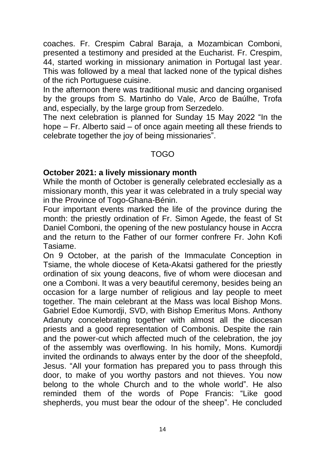coaches. Fr. Crespim Cabral Baraja, a Mozambican Comboni, presented a testimony and presided at the Eucharist. Fr. Crespim, 44, started working in missionary animation in Portugal last year. This was followed by a meal that lacked none of the typical dishes of the rich Portuguese cuisine.

In the afternoon there was traditional music and dancing organised by the groups from S. Martinho do Vale, Arco de Baúlhe, Trofa and, especially, by the large group from Serzedelo.

The next celebration is planned for Sunday 15 May 2022 "In the hope – Fr. Alberto said – of once again meeting all these friends to celebrate together the joy of being missionaries".

#### TOGO

#### **October 2021: a lively missionary month**

While the month of October is generally celebrated ecclesially as a missionary month, this year it was celebrated in a truly special way in the Province of Togo-Ghana-Bénin.

Four important events marked the life of the province during the month: the priestly ordination of Fr. Simon Agede, the feast of St Daniel Comboni, the opening of the new postulancy house in Accra and the return to the Father of our former confrere Fr. John Kofi Tasiame.

On 9 October, at the parish of the Immaculate Conception in Tsiame, the whole diocese of Keta-Akatsi gathered for the priestly ordination of six young deacons, five of whom were diocesan and one a Comboni. It was a very beautiful ceremony, besides being an occasion for a large number of religious and lay people to meet together. The main celebrant at the Mass was local Bishop Mons. Gabriel Edoe Kumordji, SVD, with Bishop Emeritus Mons. Anthony Adanuty concelebrating together with almost all the diocesan priests and a good representation of Combonis. Despite the rain and the power-cut which affected much of the celebration, the joy of the assembly was overflowing. In his homily, Mons. Kumordji invited the ordinands to always enter by the door of the sheepfold, Jesus. "All your formation has prepared you to pass through this door, to make of you worthy pastors and not thieves. You now belong to the whole Church and to the whole world". He also reminded them of the words of Pope Francis: "Like good shepherds, you must bear the odour of the sheep". He concluded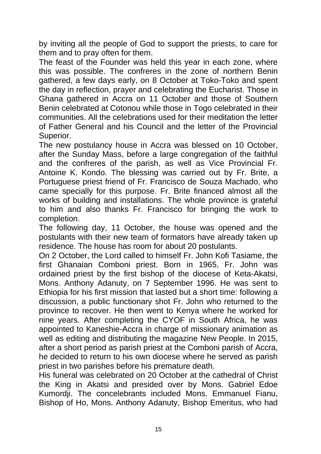by inviting all the people of God to support the priests, to care for them and to pray often for them.

The feast of the Founder was held this year in each zone, where this was possible. The confreres in the zone of northern Benin gathered, a few days early, on 8 October at Toko-Toko and spent the day in reflection, prayer and celebrating the Eucharist. Those in Ghana gathered in Accra on 11 October and those of Southern Benin celebrated at Cotonou while those in Togo celebrated in their communities. All the celebrations used for their meditation the letter of Father General and his Council and the letter of the Provincial Superior.

The new postulancy house in Accra was blessed on 10 October, after the Sunday Mass, before a large congregation of the faithful and the confreres of the parish, as well as Vice Provincial Fr. Antoine K. Kondo. The blessing was carried out by Fr. Brite, a Portuguese priest friend of Fr. Francisco de Souza Machado, who came specially for this purpose. Fr. Brite financed almost all the works of building and installations. The whole province is grateful to him and also thanks Fr. Francisco for bringing the work to completion.

The following day, 11 October, the house was opened and the postulants with their new team of formators have already taken up residence. The house has room for about 20 postulants.

On 2 October, the Lord called to himself Fr. John Kofi Tasiame, the first Ghanaian Comboni priest. Born in 1965, Fr. John was ordained priest by the first bishop of the diocese of Keta-Akatsi, Mons. Anthony Adanuty, on 7 September 1996. He was sent to Ethiopia for his first mission that lasted but a short time: following a discussion, a public functionary shot Fr. John who returned to the province to recover. He then went to Kenya where he worked for nine years. After completing the CYOF in South Africa, he was appointed to Kaneshie-Accra in charge of missionary animation as well as editing and distributing the magazine New People. In 2015, after a short period as parish priest at the Comboni parish of Accra, he decided to return to his own diocese where he served as parish priest in two parishes before his premature death.

His funeral was celebrated on 20 October at the cathedral of Christ the King in Akatsi and presided over by Mons. Gabriel Edoe Kumordji. The concelebrants included Mons. Emmanuel Fianu, Bishop of Ho, Mons. Anthony Adanuty, Bishop Emeritus, who had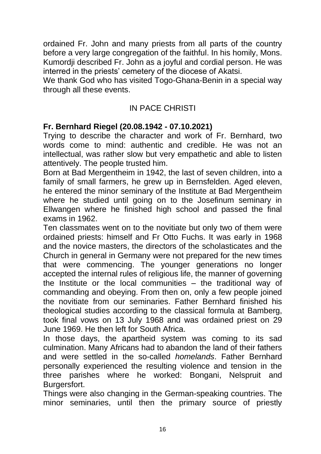ordained Fr. John and many priests from all parts of the country before a very large congregation of the faithful. In his homily, Mons. Kumordji described Fr. John as a joyful and cordial person. He was interred in the priests' cemetery of the diocese of Akatsi.

We thank God who has visited Togo-Ghana-Benin in a special way through all these events.

# IN PACE CHRISTI

# **Fr. Bernhard Riegel (20.08.1942 - 07.10.2021)**

Trying to describe the character and work of Fr. Bernhard, two words come to mind: authentic and credible. He was not an intellectual, was rather slow but very empathetic and able to listen attentively. The people trusted him.

Born at Bad Mergentheim in 1942, the last of seven children, into a family of small farmers, he grew up in Bernsfelden. Aged eleven, he entered the minor seminary of the Institute at Bad Mergentheim where he studied until going on to the Josefinum seminary in Ellwangen where he finished high school and passed the final exams in 1962.

Ten classmates went on to the novitiate but only two of them were ordained priests: himself and Fr Otto Fuchs. It was early in 1968 and the novice masters, the directors of the scholasticates and the Church in general in Germany were not prepared for the new times that were commencing. The younger generations no longer accepted the internal rules of religious life, the manner of governing the Institute or the local communities – the traditional way of commanding and obeying. From then on, only a few people joined the novitiate from our seminaries. Father Bernhard finished his theological studies according to the classical formula at Bamberg, took final vows on 13 July 1968 and was ordained priest on 29 June 1969. He then left for South Africa.

In those days, the apartheid system was coming to its sad culmination. Many Africans had to abandon the land of their fathers and were settled in the so-called *homelands*. Father Bernhard personally experienced the resulting violence and tension in the three parishes where he worked: Bongani, Nelspruit and Burgersfort.

Things were also changing in the German-speaking countries. The minor seminaries, until then the primary source of priestly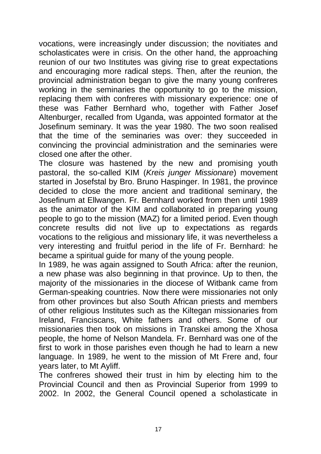vocations, were increasingly under discussion; the novitiates and scholasticates were in crisis. On the other hand, the approaching reunion of our two Institutes was giving rise to great expectations and encouraging more radical steps. Then, after the reunion, the provincial administration began to give the many young confreres working in the seminaries the opportunity to go to the mission, replacing them with confreres with missionary experience: one of these was Father Bernhard who, together with Father Josef Altenburger, recalled from Uganda, was appointed formator at the Josefinum seminary. It was the year 1980. The two soon realised that the time of the seminaries was over: they succeeded in convincing the provincial administration and the seminaries were closed one after the other.

The closure was hastened by the new and promising youth pastoral, the so-called KIM (*Kreis junger Missionare*) movement started in Josefstal by Bro. Bruno Haspinger. In 1981, the province decided to close the more ancient and traditional seminary, the Josefinum at Ellwangen. Fr. Bernhard worked from then until 1989 as the animator of the KIM and collaborated in preparing young people to go to the mission (MAZ) for a limited period. Even though concrete results did not live up to expectations as regards vocations to the religious and missionary life, it was nevertheless a very interesting and fruitful period in the life of Fr. Bernhard: he became a spiritual guide for many of the young people.

In 1989, he was again assigned to South Africa: after the reunion, a new phase was also beginning in that province. Up to then, the majority of the missionaries in the diocese of Witbank came from German-speaking countries. Now there were missionaries not only from other provinces but also South African priests and members of other religious Institutes such as the Kiltegan missionaries from Ireland, Franciscans, White fathers and others. Some of our missionaries then took on missions in Transkei among the Xhosa people, the home of Nelson Mandela. Fr. Bernhard was one of the first to work in those parishes even though he had to learn a new language. In 1989, he went to the mission of Mt Frere and, four years later, to Mt Ayliff.

The confreres showed their trust in him by electing him to the Provincial Council and then as Provincial Superior from 1999 to 2002. In 2002, the General Council opened a scholasticate in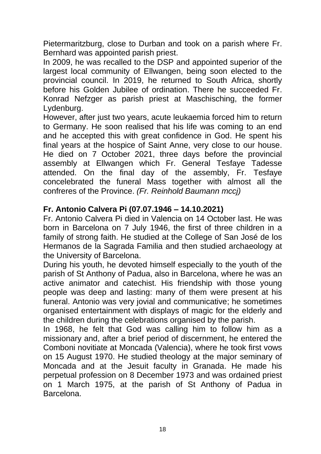Pietermaritzburg, close to Durban and took on a parish where Fr. Bernhard was appointed parish priest.

In 2009, he was recalled to the DSP and appointed superior of the largest local community of Ellwangen, being soon elected to the provincial council. In 2019, he returned to South Africa, shortly before his Golden Jubilee of ordination. There he succeeded Fr. Konrad Nefzger as parish priest at Maschisching, the former Lydenburg.

However, after just two years, acute leukaemia forced him to return to Germany. He soon realised that his life was coming to an end and he accepted this with great confidence in God. He spent his final years at the hospice of Saint Anne, very close to our house. He died on 7 October 2021, three days before the provincial assembly at Ellwangen which Fr. General Tesfaye Tadesse attended. On the final day of the assembly, Fr. Tesfaye concelebrated the funeral Mass together with almost all the confreres of the Province. *(Fr. Reinhold Baumann mccj)*

# **Fr. Antonio Calvera Pi (07.07.1946 – 14.10.2021)**

Fr. Antonio Calvera Pi died in Valencia on 14 October last. He was born in Barcelona on 7 July 1946, the first of three children in a family of strong faith. He studied at the College of San José de los Hermanos de la Sagrada Familia and then studied archaeology at the University of Barcelona.

During his youth, he devoted himself especially to the youth of the parish of St Anthony of Padua, also in Barcelona, where he was an active animator and catechist. His friendship with those young people was deep and lasting: many of them were present at his funeral. Antonio was very jovial and communicative; he sometimes organised entertainment with displays of magic for the elderly and the children during the celebrations organised by the parish.

In 1968, he felt that God was calling him to follow him as a missionary and, after a brief period of discernment, he entered the Comboni novitiate at Moncada (Valencia), where he took first vows on 15 August 1970. He studied theology at the major seminary of Moncada and at the Jesuit faculty in Granada. He made his perpetual profession on 8 December 1973 and was ordained priest on 1 March 1975, at the parish of St Anthony of Padua in Barcelona.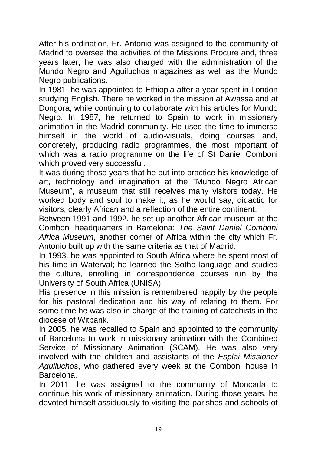After his ordination, Fr. Antonio was assigned to the community of Madrid to oversee the activities of the Missions Procure and, three years later, he was also charged with the administration of the Mundo Negro and Aguiluchos magazines as well as the Mundo Negro publications.

In 1981, he was appointed to Ethiopia after a year spent in London studying English. There he worked in the mission at Awassa and at Dongora, while continuing to collaborate with his articles for Mundo Negro. In 1987, he returned to Spain to work in missionary animation in the Madrid community. He used the time to immerse himself in the world of audio-visuals, doing courses and, concretely, producing radio programmes, the most important of which was a radio programme on the life of St Daniel Comboni which proved very successful.

It was during those years that he put into practice his knowledge of art, technology and imagination at the "Mundo Negro African Museum", a museum that still receives many visitors today. He worked body and soul to make it, as he would say, didactic for visitors, clearly African and a reflection of the entire continent.

Between 1991 and 1992, he set up another African museum at the Comboni headquarters in Barcelona: *The Saint Daniel Comboni Africa Museum*, another corner of Africa within the city which Fr. Antonio built up with the same criteria as that of Madrid.

In 1993, he was appointed to South Africa where he spent most of his time in Waterval; he learned the Sotho language and studied the culture, enrolling in correspondence courses run by the University of South Africa (UNISA).

His presence in this mission is remembered happily by the people for his pastoral dedication and his way of relating to them. For some time he was also in charge of the training of catechists in the diocese of Witbank.

In 2005, he was recalled to Spain and appointed to the community of Barcelona to work in missionary animation with the Combined Service of Missionary Animation (SCAM). He was also very involved with the children and assistants of the *Esplai Missioner Aguiluchos*, who gathered every week at the Comboni house in Barcelona.

In 2011, he was assigned to the community of Moncada to continue his work of missionary animation. During those years, he devoted himself assiduously to visiting the parishes and schools of